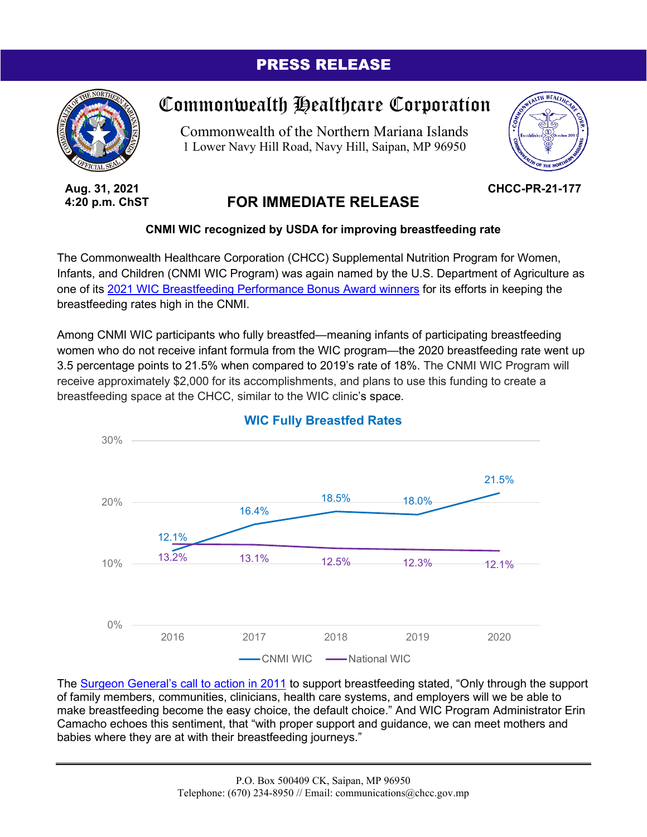## PRESS RELEASE



## Commonwealth Healthcare Corporation

Commonwealth of the Northern Mariana Islands 1 Lower Navy Hill Road, Navy Hill, Saipan, MP 96950



**CHCC-PR-21-177**

**Aug. 31, 2021 4:20 p.m. ChST**

## **FOR IMMEDIATE RELEASE**

## **CNMI WIC recognized by USDA for improving breastfeeding rate**

The Commonwealth Healthcare Corporation (CHCC) Supplemental Nutrition Program for Women, Infants, and Children (CNMI WIC Program) was again named by the U.S. Department of Agriculture as one of its [2021 WIC Breastfeeding Performance Bonus Award winners](https://www.fns.usda.gov/news-item/wro-081821) for its efforts in keeping the breastfeeding rates high in the CNMI.

Among CNMI WIC participants who fully breastfed—meaning infants of participating breastfeeding women who do not receive infant formula from the WIC program—the 2020 breastfeeding rate went up 3.5 percentage points to 21.5% when compared to 2019's rate of 18%. The CNMI WIC Program will receive approximately \$2,000 for its accomplishments, and plans to use this funding to create a breastfeeding space at the CHCC, similar to the WIC clinic's space.



**WIC Fully Breastfed Rates**

The [Surgeon General's call to action in 2011](https://www.ncbi.nlm.nih.gov/books/NBK52691/) to support breastfeeding stated, "Only through the support of family members, communities, clinicians, health care systems, and employers will we be able to make breastfeeding become the easy choice, the default choice." And WIC Program Administrator Erin Camacho echoes this sentiment, that "with proper support and guidance, we can meet mothers and babies where they are at with their breastfeeding journeys."